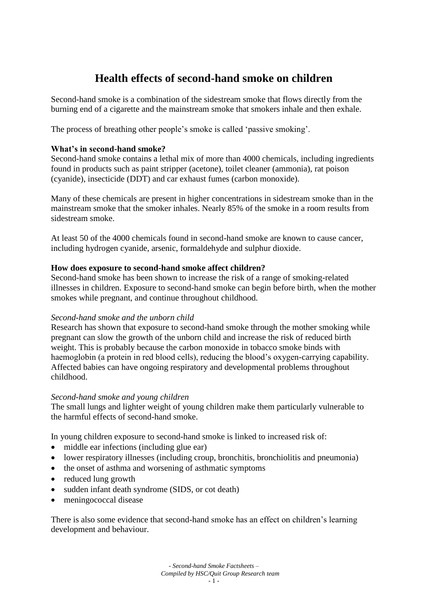# **Health effects of second-hand smoke on children**

Second-hand smoke is a combination of the sidestream smoke that flows directly from the burning end of a cigarette and the mainstream smoke that smokers inhale and then exhale.

The process of breathing other people's smoke is called 'passive smoking'.

## **What's in second-hand smoke?**

Second-hand smoke contains a lethal mix of more than 4000 chemicals, including ingredients found in products such as paint stripper (acetone), toilet cleaner (ammonia), rat poison (cyanide), insecticide (DDT) and car exhaust fumes (carbon monoxide).

Many of these chemicals are present in higher concentrations in sidestream smoke than in the mainstream smoke that the smoker inhales. Nearly 85% of the smoke in a room results from sidestream smoke.

At least 50 of the 4000 chemicals found in second-hand smoke are known to cause cancer, including hydrogen cyanide, arsenic, formaldehyde and sulphur dioxide.

#### **How does exposure to second-hand smoke affect children?**

Second-hand smoke has been shown to increase the risk of a range of smoking-related illnesses in children. Exposure to second-hand smoke can begin before birth, when the mother smokes while pregnant, and continue throughout childhood.

#### *Second-hand smoke and the unborn child*

Research has shown that exposure to second-hand smoke through the mother smoking while pregnant can slow the growth of the unborn child and increase the risk of reduced birth weight. This is probably because the carbon monoxide in tobacco smoke binds with haemoglobin (a protein in red blood cells), reducing the blood's oxygen-carrying capability. Affected babies can have ongoing respiratory and developmental problems throughout childhood.

#### *Second-hand smoke and young children*

The small lungs and lighter weight of young children make them particularly vulnerable to the harmful effects of second-hand smoke.

In young children exposure to second-hand smoke is linked to increased risk of:

- middle ear infections (including glue ear)
- lower respiratory illnesses (including croup, bronchitis, bronchiolitis and pneumonia)
- the onset of asthma and worsening of asthmatic symptoms
- reduced lung growth
- sudden infant death syndrome (SIDS, or cot death)
- meningococcal disease

There is also some evidence that second-hand smoke has an effect on children's learning development and behaviour.